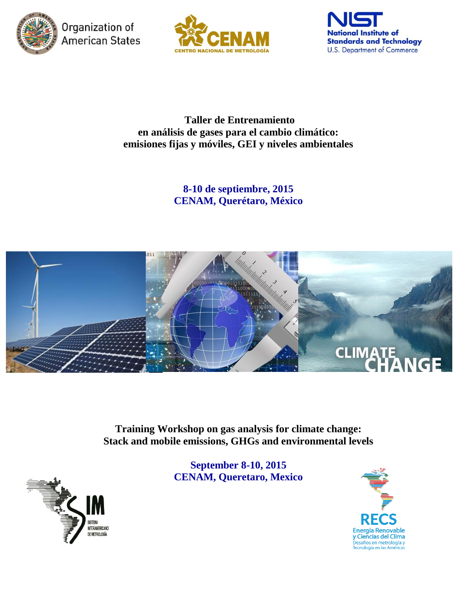

Organization of **American States** 





**Taller de Entrenamiento en análisis de gases para el cambio climático: emisiones fijas y móviles, GEI y niveles ambientales**

> **8-10 de septiembre, 2015 CENAM, Querétaro, México**



**Training Workshop on gas analysis for climate change: Stack and mobile emissions, GHGs and environmental levels**

> **September 8-10, 2015 CENAM, Queretaro, Mexico**



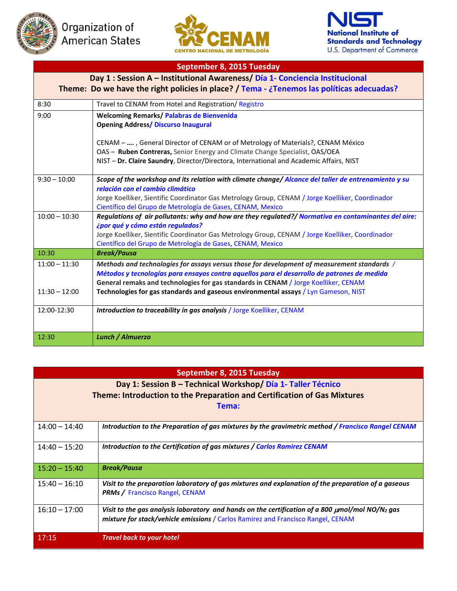





## **September 8, 2015 Tuesday Day 1 : Session A – Institutional Awareness/ Día 1- Conciencia Institucional Theme: Do we have the right policies in place? / Tema - ¿Tenemos las políticas adecuadas?** 8:30 **Travel to CENAM from Hotel and Registration/ Registro** 9:00 **Welcoming Remarks/ Palabras de Bienvenida Opening Address/ Discurso Inaugural** CENAM – **….** , General Director of CENAM or of Metrology of Materials?, CENAM México OAS – **Ruben Contreras,** Senior Energy and Climate Change Specialist, OAS/OEA NIST – **Dr. Claire Saundry**, Director/Directora, International and Academic Affairs, NIST 9:30 – 10:00 *Scope of the workshop and its relation with climate change/ Alcance del taller de entrenamiento y su relación con el cambio climático* Jorge Koelliker, Sientific Coordinator Gas Metrology Group, CENAM / Jorge Koelliker, Coordinador Científico del Grupo de Metrología de Gases, CENAM, Mexico 10:00 – 10:30 *Regulations of air pollutants: why and how are they regulated?/ Normativa en contaminantes del aire: ¿por qué y cómo están regulados?* Jorge Koelliker, Sientific Coordinator Gas Metrology Group, CENAM / Jorge Koelliker, Coordinador Científico del Grupo de Metrología de Gases, CENAM, Mexico 10:30 *Break/Pausa* 11:00 – 11:30 11:30 – 12:00 *Methods and technologies for assays versus those for development of measurement standards / Métodos y tecnologías para ensayos contra aquellos para el desarrollo de patrones de medida* **General remaks and technologies for gas standards in CENAM** / Jorge Koelliker, CENAM **Technologies for gas standards and gaseous environmental assays** / Lyn Gameson, NIST 12:00-12:30 *Introduction to traceability in gas analysis* / Jorge Koelliker, CENAM 12:30 *Lunch / Almuerzo*

| September 8, 2015 Tuesday                                                |                                                                                                                                                                                                      |  |
|--------------------------------------------------------------------------|------------------------------------------------------------------------------------------------------------------------------------------------------------------------------------------------------|--|
| Day 1: Session B - Technical Workshop/ Día 1- Taller Técnico             |                                                                                                                                                                                                      |  |
| Theme: Introduction to the Preparation and Certification of Gas Mixtures |                                                                                                                                                                                                      |  |
| Tema:                                                                    |                                                                                                                                                                                                      |  |
|                                                                          |                                                                                                                                                                                                      |  |
| $14:00 - 14:40$                                                          | Introduction to the Preparation of gas mixtures by the gravimetric method / Francisco Rangel CENAM                                                                                                   |  |
| $14:40 - 15:20$                                                          | Introduction to the Certification of gas mixtures / Carlos Ramirez CENAM                                                                                                                             |  |
| $15:20 - 15:40$                                                          | <b>Break/Pausa</b>                                                                                                                                                                                   |  |
| $15:40 - 16:10$                                                          | Visit to the preparation laboratory of gas mixtures and explanation of the preparation of a gaseous<br><b>PRMs / Francisco Rangel, CENAM</b>                                                         |  |
| $16:10 - 17:00$                                                          | Visit to the gas analysis laboratory and hands on the certification of a 800 $\mu$ mol/mol NO/N <sub>2</sub> gas<br>mixture for stack/vehicle emissions / Carlos Ramirez and Francisco Rangel, CENAM |  |
| 17:15                                                                    | <b>Travel back to your hotel</b>                                                                                                                                                                     |  |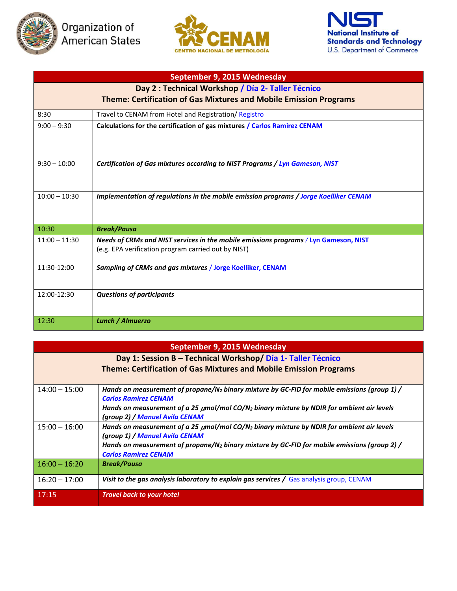





| September 9, 2015 Wednesday                                              |                                                                                                                                             |  |
|--------------------------------------------------------------------------|---------------------------------------------------------------------------------------------------------------------------------------------|--|
| Day 2 : Technical Workshop / Día 2- Taller Técnico                       |                                                                                                                                             |  |
| <b>Theme: Certification of Gas Mixtures and Mobile Emission Programs</b> |                                                                                                                                             |  |
| 8:30                                                                     | Travel to CENAM from Hotel and Registration/ Registro                                                                                       |  |
| $9:00 - 9:30$                                                            | Calculations for the certification of gas mixtures / Carlos Ramirez CENAM                                                                   |  |
| $9:30 - 10:00$                                                           | Certification of Gas mixtures according to NIST Programs / Lyn Gameson, NIST                                                                |  |
| $10:00 - 10:30$                                                          | Implementation of regulations in the mobile emission programs / Jorge Koelliker CENAM                                                       |  |
| 10:30                                                                    | <b>Break/Pausa</b>                                                                                                                          |  |
| $11:00 - 11:30$                                                          | Needs of CRMs and NIST services in the mobile emissions programs / Lyn Gameson, NIST<br>(e.g. EPA verification program carried out by NIST) |  |
| 11:30-12:00                                                              | Sampling of CRMs and gas mixtures / Jorge Koelliker, CENAM                                                                                  |  |
| 12:00-12:30                                                              | <b>Questions of participants</b>                                                                                                            |  |
| 12:30                                                                    | <b>Lunch / Almuerzo</b>                                                                                                                     |  |

| September 9, 2015 Wednesday                                  |                                                                                                            |  |
|--------------------------------------------------------------|------------------------------------------------------------------------------------------------------------|--|
| Day 1: Session B - Technical Workshop/ Día 1- Taller Técnico |                                                                                                            |  |
|                                                              | <b>Theme: Certification of Gas Mixtures and Mobile Emission Programs</b>                                   |  |
|                                                              |                                                                                                            |  |
| $14:00 - 15:00$                                              | Hands on measurement of propane/N <sub>2</sub> binary mixture by GC-FID for mobile emissions (group 1) /   |  |
|                                                              | <b>Carlos Ramirez CENAM</b>                                                                                |  |
|                                                              | Hands on measurement of a 25 $\mu$ mol/mol CO/N <sub>2</sub> binary mixture by NDIR for ambient air levels |  |
|                                                              | (group 2) / Manuel Avila CENAM                                                                             |  |
| $15:00 - 16:00$                                              | Hands on measurement of a 25 µmol/mol CO/N <sub>2</sub> binary mixture by NDIR for ambient air levels      |  |
|                                                              | (group 1) / Manuel Avila CENAM                                                                             |  |
|                                                              | Hands on measurement of propane/N <sub>2</sub> binary mixture by GC-FID for mobile emissions (group 2) /   |  |
|                                                              | <b>Carlos Ramirez CENAM</b>                                                                                |  |
| $16:00 - 16:20$                                              | <b>Break/Pausa</b>                                                                                         |  |
| $16:20 - 17:00$                                              | Visit to the gas analysis laboratory to explain gas services $\sqrt{G}$ Gas analysis group, CENAM          |  |
| 17:15                                                        | <b>Travel back to your hotel</b>                                                                           |  |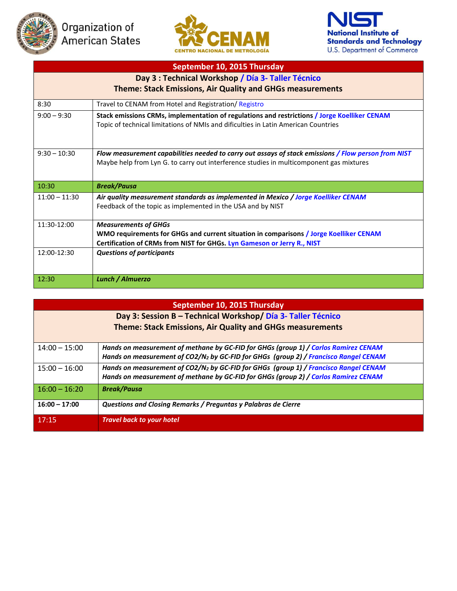





## **September 10, 2015 Thursday Day 3 : Technical Workshop / Día 3- Taller Técnico Theme: Stack Emissions, Air Quality and GHGs measurements** 8:30 Travel to CENAM from Hotel and Registration/ Registro 9:00 – 9:30 **Stack emissions CRMs, implementation of regulations and restrictions / Jorge Koelliker CENAM** Topic of technical limitations of NMIs and dificulties in Latin American Countries 9:30 – 10:30 *Flow measurement capabilities needed to carry out assays of stack emissions / Flow person from NIST*  Maybe help from Lyn G. to carry out interference studies in multicomponent gas mixtures 10:30 *Break/Pausa* 11:00 – 11:30 *Air quality measurement standards as implemented in Mexico / Jorge Koelliker CENAM* Feedback of the topic as implemented in the USA and by NIST 11:30-12:00 *Measurements of GHGs* **WMO requirements for GHGs and current situation in comparisons / Jorge Koelliker CENAM Certification of CRMs from NIST for GHGs. Lyn Gameson or Jerry R., NIST** 12:00-12:30 *Questions of participants* 12:30 *Lunch / Almuerzo*

| September 10, 2015 Thursday                                  |                                                                                                                                                                                         |  |
|--------------------------------------------------------------|-----------------------------------------------------------------------------------------------------------------------------------------------------------------------------------------|--|
| Day 3: Session B - Technical Workshop/ Día 3- Taller Técnico |                                                                                                                                                                                         |  |
| Theme: Stack Emissions, Air Quality and GHGs measurements    |                                                                                                                                                                                         |  |
| $14:00 - 15:00$                                              | Hands on measurement of methane by GC-FID for GHGs (group 1) / Carlos Ramirez CENAM<br>Hands on measurement of CO2/N <sub>2</sub> by GC-FID for GHGs (group 2) / Francisco Rangel CENAM |  |
| $15:00 - 16:00$                                              | Hands on measurement of CO2/N <sub>2</sub> by GC-FID for GHGs (group 1) / Francisco Rangel CENAM<br>Hands on measurement of methane by GC-FID for GHGs (group 2) / Carlos Ramirez CENAM |  |
| $16:00 - 16:20$                                              | <b>Break/Pausa</b>                                                                                                                                                                      |  |
| $16:00 - 17:00$                                              | Questions and Closing Remarks / Preguntas y Palabras de Cierre                                                                                                                          |  |
| 17:15                                                        | <b>Travel back to your hotel</b>                                                                                                                                                        |  |